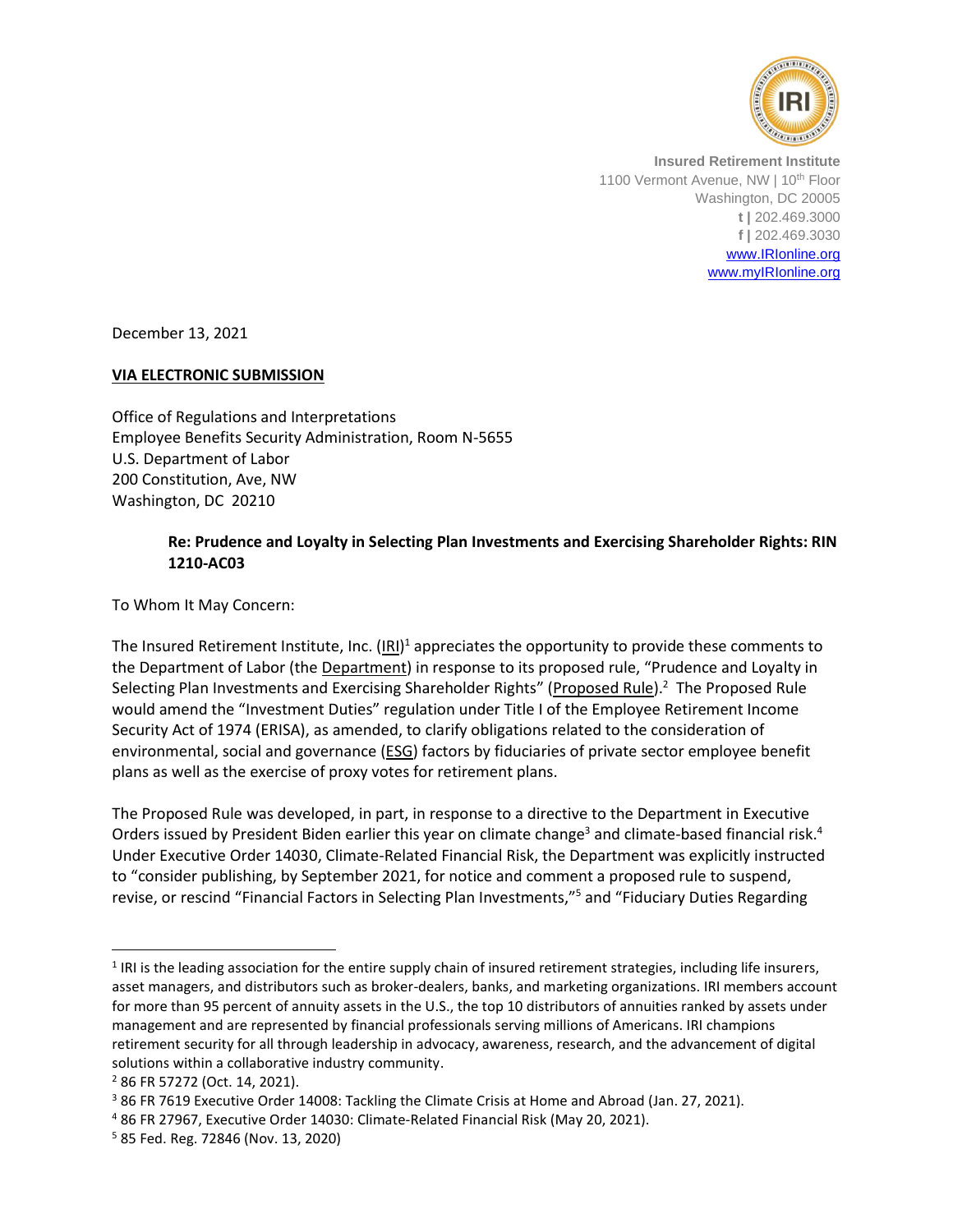

**Insured Retirement Institute** 1100 Vermont Avenue, NW | 10<sup>th</sup> Floor Washington, DC 20005 **t |** 202.469.3000 **f |** 202.469.3030 [www.IRIonline.org](http://www.irionline.org/) [www.myIRIonline.org](http://www.myirionline.org/)

December 13, 2021

## **VIA ELECTRONIC SUBMISSION**

Office of Regulations and Interpretations Employee Benefits Security Administration, Room N-5655 U.S. Department of Labor 200 Constitution, Ave, NW Washington, DC 20210

## **Re: Prudence and Loyalty in Selecting Plan Investments and Exercising Shareholder Rights: RIN 1210-AC03**

To Whom It May Concern:

The Insured Retirement Institute, Inc. (IRI)<sup>1</sup> appreciates the opportunity to provide these comments to the Department of Labor (the **Department**) in response to its proposed rule, "Prudence and Loyalty in Selecting Plan Investments and Exercising Shareholder Rights" (Proposed Rule).<sup>2</sup> The Proposed Rule would amend the "Investment Duties" regulation under Title I of the Employee Retirement Income Security Act of 1974 (ERISA), as amended, to clarify obligations related to the consideration of environmental, social and governance (ESG) factors by fiduciaries of private sector employee benefit plans as well as the exercise of proxy votes for retirement plans.

The Proposed Rule was developed, in part, in response to a directive to the Department in Executive Orders issued by President Biden earlier this year on climate change<sup>3</sup> and climate-based financial risk.<sup>4</sup> Under Executive Order 14030, Climate-Related Financial Risk, the Department was explicitly instructed to "consider publishing, by September 2021, for notice and comment a proposed rule to suspend, revise, or rescind "Financial Factors in Selecting Plan Investments,"<sup>5</sup> and "Fiduciary Duties Regarding

 $<sup>1</sup>$  IRI is the leading association for the entire supply chain of insured retirement strategies, including life insurers,</sup> asset managers, and distributors such as broker-dealers, banks, and marketing organizations. IRI members account for more than 95 percent of annuity assets in the U.S., the top 10 distributors of annuities ranked by assets under management and are represented by financial professionals serving millions of Americans. IRI champions retirement security for all through leadership in advocacy, awareness, research, and the advancement of digital solutions within a collaborative industry community.

<sup>2</sup> 86 FR 57272 (Oct. 14, 2021).

<sup>&</sup>lt;sup>3</sup> 86 FR 7619 Executive Order 14008: Tackling the Climate Crisis at Home and Abroad (Jan. 27, 2021).

<sup>4</sup> 86 FR 27967, Executive Order 14030: Climate-Related Financial Risk (May 20, 2021).

<sup>5</sup> 85 Fed. Reg. 72846 (Nov. 13, 2020)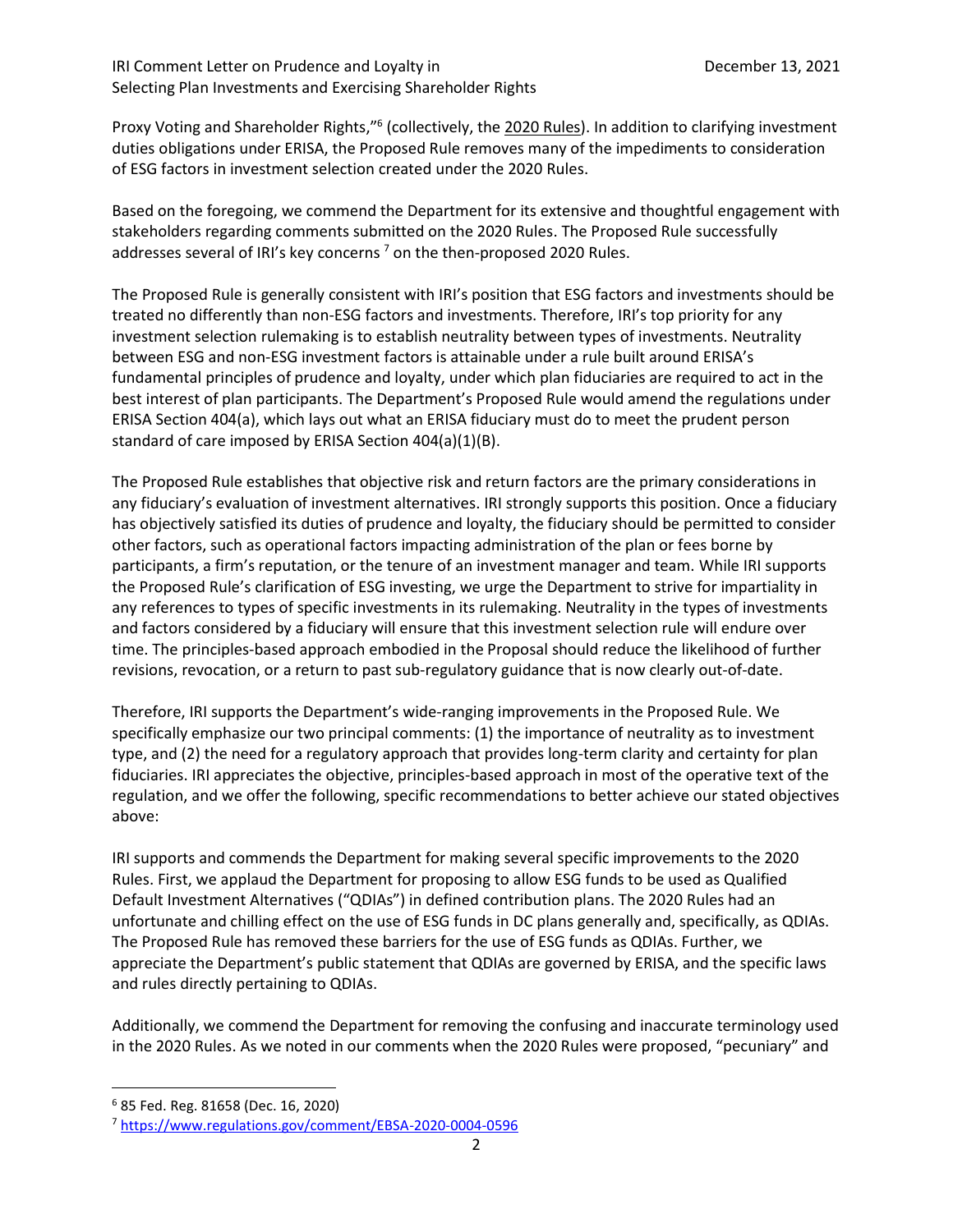## IRI Comment Letter on Prudence and Loyalty in The Comment December 13, 2021 Selecting Plan Investments and Exercising Shareholder Rights

Proxy Voting and Shareholder Rights,"<sup>6</sup> (collectively, the 2020 Rules). In addition to clarifying investment duties obligations under ERISA, the Proposed Rule removes many of the impediments to consideration of ESG factors in investment selection created under the 2020 Rules.

Based on the foregoing, we commend the Department for its extensive and thoughtful engagement with stakeholders regarding comments submitted on the 2020 Rules. The Proposed Rule successfully addresses several of IRI's key concerns<sup>7</sup> on the then-proposed 2020 Rules.

The Proposed Rule is generally consistent with IRI's position that ESG factors and investments should be treated no differently than non-ESG factors and investments. Therefore, IRI's top priority for any investment selection rulemaking is to establish neutrality between types of investments. Neutrality between ESG and non-ESG investment factors is attainable under a rule built around ERISA's fundamental principles of prudence and loyalty, under which plan fiduciaries are required to act in the best interest of plan participants. The Department's Proposed Rule would amend the regulations under ERISA Section 404(a), which lays out what an ERISA fiduciary must do to meet the prudent person standard of care imposed by ERISA Section 404(a)(1)(B).

The Proposed Rule establishes that objective risk and return factors are the primary considerations in any fiduciary's evaluation of investment alternatives. IRI strongly supports this position. Once a fiduciary has objectively satisfied its duties of prudence and loyalty, the fiduciary should be permitted to consider other factors, such as operational factors impacting administration of the plan or fees borne by participants, a firm's reputation, or the tenure of an investment manager and team. While IRI supports the Proposed Rule's clarification of ESG investing, we urge the Department to strive for impartiality in any references to types of specific investments in its rulemaking. Neutrality in the types of investments and factors considered by a fiduciary will ensure that this investment selection rule will endure over time. The principles-based approach embodied in the Proposal should reduce the likelihood of further revisions, revocation, or a return to past sub-regulatory guidance that is now clearly out-of-date.

Therefore, IRI supports the Department's wide-ranging improvements in the Proposed Rule. We specifically emphasize our two principal comments: (1) the importance of neutrality as to investment type, and (2) the need for a regulatory approach that provides long-term clarity and certainty for plan fiduciaries. IRI appreciates the objective, principles-based approach in most of the operative text of the regulation, and we offer the following, specific recommendations to better achieve our stated objectives above:

IRI supports and commends the Department for making several specific improvements to the 2020 Rules. First, we applaud the Department for proposing to allow ESG funds to be used as Qualified Default Investment Alternatives ("QDIAs") in defined contribution plans. The 2020 Rules had an unfortunate and chilling effect on the use of ESG funds in DC plans generally and, specifically, as QDIAs. The Proposed Rule has removed these barriers for the use of ESG funds as QDIAs. Further, we appreciate the Department's public statement that QDIAs are governed by ERISA, and the specific laws and rules directly pertaining to QDIAs.

Additionally, we commend the Department for removing the confusing and inaccurate terminology used in the 2020 Rules. As we noted in our comments when the 2020 Rules were proposed, "pecuniary" and

<sup>6</sup> 85 Fed. Reg. 81658 (Dec. 16, 2020)

<sup>7</sup> <https://www.regulations.gov/comment/EBSA-2020-0004-0596>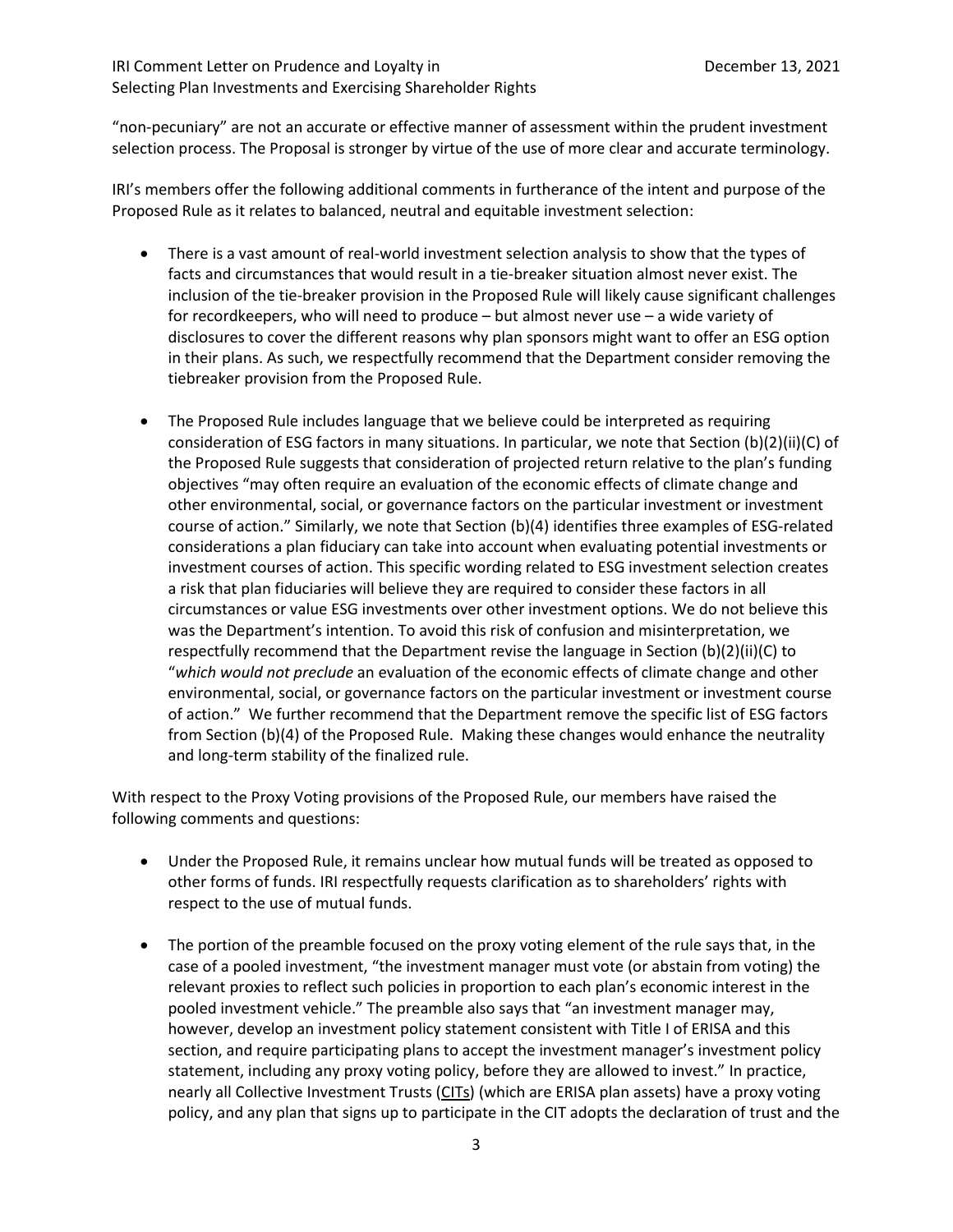## IRI Comment Letter on Prudence and Loyalty in December 13, 2021 Selecting Plan Investments and Exercising Shareholder Rights

"non-pecuniary" are not an accurate or effective manner of assessment within the prudent investment selection process. The Proposal is stronger by virtue of the use of more clear and accurate terminology.

IRI's members offer the following additional comments in furtherance of the intent and purpose of the Proposed Rule as it relates to balanced, neutral and equitable investment selection:

- There is a vast amount of real-world investment selection analysis to show that the types of facts and circumstances that would result in a tie-breaker situation almost never exist. The inclusion of the tie-breaker provision in the Proposed Rule will likely cause significant challenges for recordkeepers, who will need to produce – but almost never use – a wide variety of disclosures to cover the different reasons why plan sponsors might want to offer an ESG option in their plans. As such, we respectfully recommend that the Department consider removing the tiebreaker provision from the Proposed Rule.
- The Proposed Rule includes language that we believe could be interpreted as requiring consideration of ESG factors in many situations. In particular, we note that Section (b)(2)(ii)(C) of the Proposed Rule suggests that consideration of projected return relative to the plan's funding objectives "may often require an evaluation of the economic effects of climate change and other environmental, social, or governance factors on the particular investment or investment course of action." Similarly, we note that Section (b)(4) identifies three examples of ESG-related considerations a plan fiduciary can take into account when evaluating potential investments or investment courses of action. This specific wording related to ESG investment selection creates a risk that plan fiduciaries will believe they are required to consider these factors in all circumstances or value ESG investments over other investment options. We do not believe this was the Department's intention. To avoid this risk of confusion and misinterpretation, we respectfully recommend that the Department revise the language in Section (b)(2)(ii)(C) to "*which would not preclude* an evaluation of the economic effects of climate change and other environmental, social, or governance factors on the particular investment or investment course of action." We further recommend that the Department remove the specific list of ESG factors from Section (b)(4) of the Proposed Rule. Making these changes would enhance the neutrality and long-term stability of the finalized rule.

With respect to the Proxy Voting provisions of the Proposed Rule, our members have raised the following comments and questions:

- Under the Proposed Rule, it remains unclear how mutual funds will be treated as opposed to other forms of funds. IRI respectfully requests clarification as to shareholders' rights with respect to the use of mutual funds.
- The portion of the preamble focused on the proxy voting element of the rule says that, in the case of a pooled investment, "the investment manager must vote (or abstain from voting) the relevant proxies to reflect such policies in proportion to each plan's economic interest in the pooled investment vehicle." The preamble also says that "an investment manager may, however, develop an investment policy statement consistent with Title I of ERISA and this section, and require participating plans to accept the investment manager's investment policy statement, including any proxy voting policy, before they are allowed to invest." In practice, nearly all Collective Investment Trusts (CITs) (which are ERISA plan assets) have a proxy voting policy, and any plan that signs up to participate in the CIT adopts the declaration of trust and the